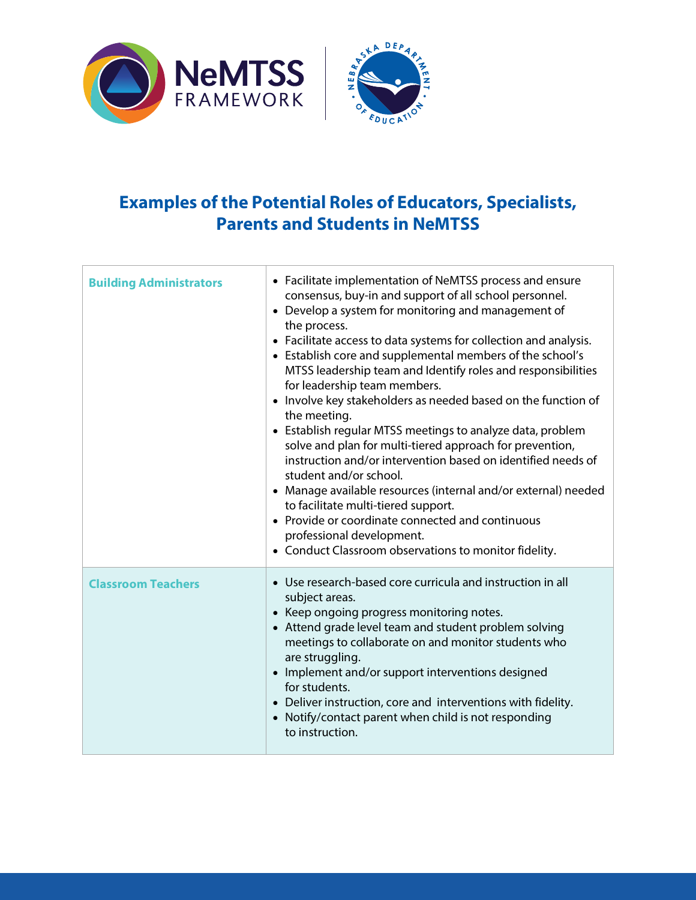



## **Examples of the Potential Roles of Educators, Specialists, Parents and Students in NeMTSS**

| <b>Building Administrators</b> | • Facilitate implementation of NeMTSS process and ensure<br>consensus, buy-in and support of all school personnel.<br>• Develop a system for monitoring and management of<br>the process.<br>• Facilitate access to data systems for collection and analysis.<br>• Establish core and supplemental members of the school's<br>MTSS leadership team and Identify roles and responsibilities<br>for leadership team members.<br>• Involve key stakeholders as needed based on the function of<br>the meeting.<br>• Establish regular MTSS meetings to analyze data, problem<br>solve and plan for multi-tiered approach for prevention,<br>instruction and/or intervention based on identified needs of<br>student and/or school.<br>• Manage available resources (internal and/or external) needed<br>to facilitate multi-tiered support.<br>• Provide or coordinate connected and continuous<br>professional development.<br>• Conduct Classroom observations to monitor fidelity. |
|--------------------------------|------------------------------------------------------------------------------------------------------------------------------------------------------------------------------------------------------------------------------------------------------------------------------------------------------------------------------------------------------------------------------------------------------------------------------------------------------------------------------------------------------------------------------------------------------------------------------------------------------------------------------------------------------------------------------------------------------------------------------------------------------------------------------------------------------------------------------------------------------------------------------------------------------------------------------------------------------------------------------------|
| <b>Classroom Teachers</b>      | • Use research-based core curricula and instruction in all<br>subject areas.<br>• Keep ongoing progress monitoring notes.<br>• Attend grade level team and student problem solving<br>meetings to collaborate on and monitor students who<br>are struggling.<br>• Implement and/or support interventions designed<br>for students.<br>• Deliver instruction, core and interventions with fidelity.<br>• Notify/contact parent when child is not responding<br>to instruction.                                                                                                                                                                                                                                                                                                                                                                                                                                                                                                      |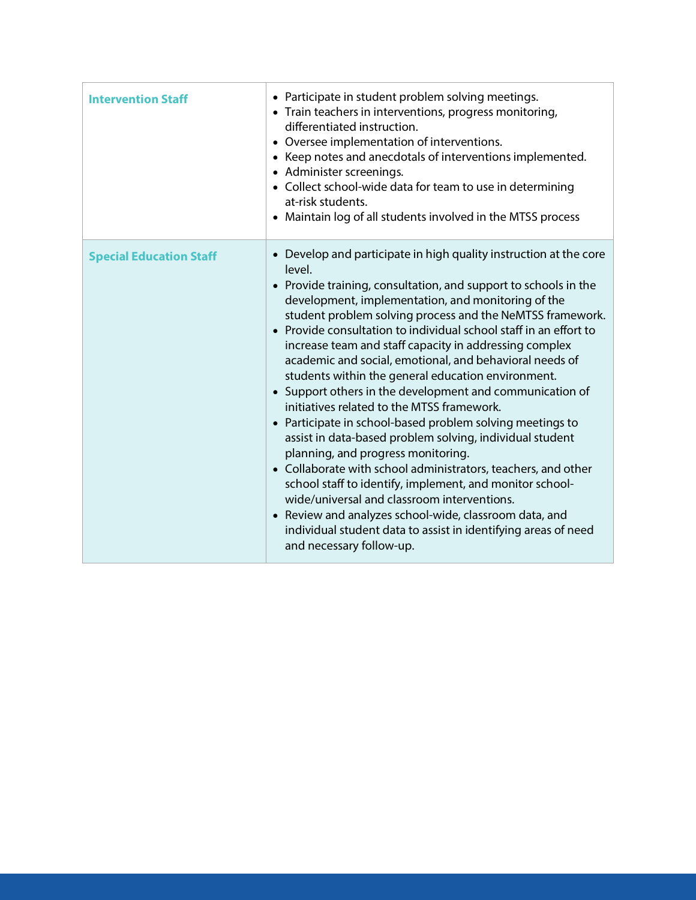| <b>Intervention Staff</b>      | • Participate in student problem solving meetings.<br>• Train teachers in interventions, progress monitoring,<br>differentiated instruction.<br>• Oversee implementation of interventions.<br>• Keep notes and anecdotals of interventions implemented.<br>• Administer screenings.<br>• Collect school-wide data for team to use in determining<br>at-risk students.<br>• Maintain log of all students involved in the MTSS process                                                                                                                                                                                                                                                                                                                                                                                                                                                                                                                                                                                                                                                                                           |
|--------------------------------|--------------------------------------------------------------------------------------------------------------------------------------------------------------------------------------------------------------------------------------------------------------------------------------------------------------------------------------------------------------------------------------------------------------------------------------------------------------------------------------------------------------------------------------------------------------------------------------------------------------------------------------------------------------------------------------------------------------------------------------------------------------------------------------------------------------------------------------------------------------------------------------------------------------------------------------------------------------------------------------------------------------------------------------------------------------------------------------------------------------------------------|
| <b>Special Education Staff</b> | • Develop and participate in high quality instruction at the core<br>level.<br>• Provide training, consultation, and support to schools in the<br>development, implementation, and monitoring of the<br>student problem solving process and the NeMTSS framework.<br>• Provide consultation to individual school staff in an effort to<br>increase team and staff capacity in addressing complex<br>academic and social, emotional, and behavioral needs of<br>students within the general education environment.<br>• Support others in the development and communication of<br>initiatives related to the MTSS framework.<br>• Participate in school-based problem solving meetings to<br>assist in data-based problem solving, individual student<br>planning, and progress monitoring.<br>• Collaborate with school administrators, teachers, and other<br>school staff to identify, implement, and monitor school-<br>wide/universal and classroom interventions.<br>• Review and analyzes school-wide, classroom data, and<br>individual student data to assist in identifying areas of need<br>and necessary follow-up. |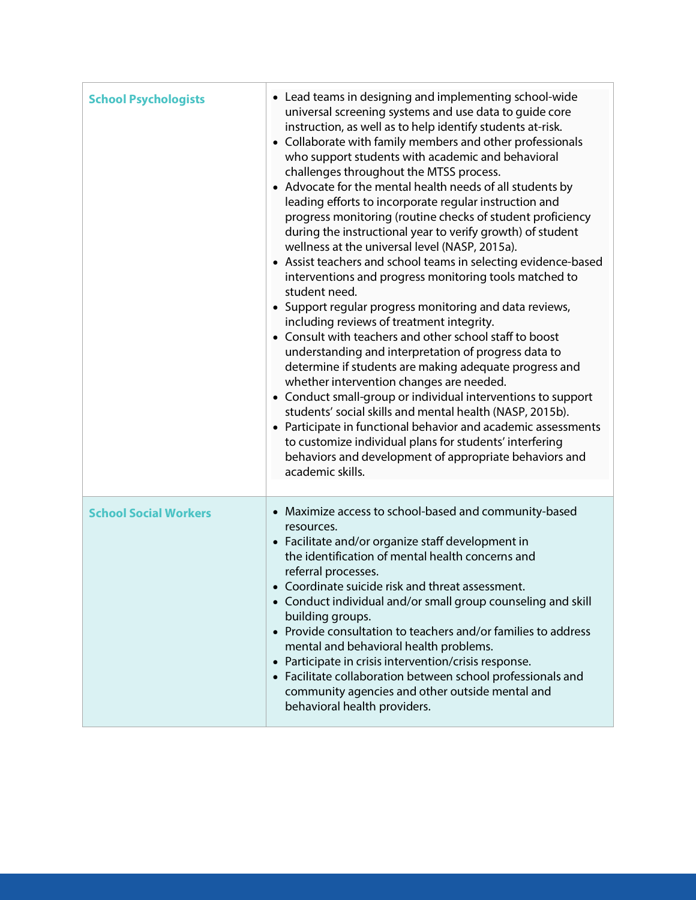| <b>School Psychologists</b>  | • Lead teams in designing and implementing school-wide<br>universal screening systems and use data to guide core<br>instruction, as well as to help identify students at-risk.<br>• Collaborate with family members and other professionals<br>who support students with academic and behavioral<br>challenges throughout the MTSS process.<br>• Advocate for the mental health needs of all students by<br>leading efforts to incorporate regular instruction and<br>progress monitoring (routine checks of student proficiency<br>during the instructional year to verify growth) of student<br>wellness at the universal level (NASP, 2015a).<br>• Assist teachers and school teams in selecting evidence-based<br>interventions and progress monitoring tools matched to<br>student need.<br>• Support regular progress monitoring and data reviews,<br>including reviews of treatment integrity.<br>• Consult with teachers and other school staff to boost<br>understanding and interpretation of progress data to<br>determine if students are making adequate progress and<br>whether intervention changes are needed.<br>• Conduct small-group or individual interventions to support<br>students' social skills and mental health (NASP, 2015b).<br>• Participate in functional behavior and academic assessments<br>to customize individual plans for students' interfering<br>behaviors and development of appropriate behaviors and<br>academic skills. |
|------------------------------|----------------------------------------------------------------------------------------------------------------------------------------------------------------------------------------------------------------------------------------------------------------------------------------------------------------------------------------------------------------------------------------------------------------------------------------------------------------------------------------------------------------------------------------------------------------------------------------------------------------------------------------------------------------------------------------------------------------------------------------------------------------------------------------------------------------------------------------------------------------------------------------------------------------------------------------------------------------------------------------------------------------------------------------------------------------------------------------------------------------------------------------------------------------------------------------------------------------------------------------------------------------------------------------------------------------------------------------------------------------------------------------------------------------------------------------------------------------------|
| <b>School Social Workers</b> | • Maximize access to school-based and community-based<br>resources.<br>• Facilitate and/or organize staff development in<br>the identification of mental health concerns and<br>referral processes.<br>• Coordinate suicide risk and threat assessment.<br>• Conduct individual and/or small group counseling and skill<br>building groups.<br>• Provide consultation to teachers and/or families to address<br>mental and behavioral health problems.<br>• Participate in crisis intervention/crisis response.<br>• Facilitate collaboration between school professionals and<br>community agencies and other outside mental and<br>behavioral health providers.                                                                                                                                                                                                                                                                                                                                                                                                                                                                                                                                                                                                                                                                                                                                                                                                    |